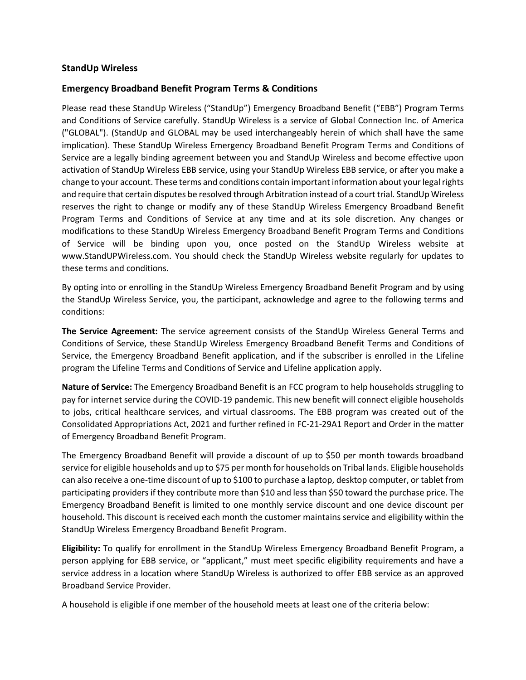## **StandUp Wireless**

## **Emergency Broadband Benefit Program Terms & Conditions**

Please read these StandUp Wireless ("StandUp") Emergency Broadband Benefit ("EBB") Program Terms and Conditions of Service carefully. StandUp Wireless is a service of Global Connection Inc. of America ("GLOBAL"). (StandUp and GLOBAL may be used interchangeably herein of which shall have the same implication). These StandUp Wireless Emergency Broadband Benefit Program Terms and Conditions of Service are a legally binding agreement between you and StandUp Wireless and become effective upon activation of StandUp Wireless EBB service, using your StandUp Wireless EBB service, or after you make a change to your account. These terms and conditions contain important information about your legal rights and require that certain disputes be resolved through Arbitration instead of a court trial. StandUp Wireless reserves the right to change or modify any of these StandUp Wireless Emergency Broadband Benefit Program Terms and Conditions of Service at any time and at its sole discretion. Any changes or modifications to these StandUp Wireless Emergency Broadband Benefit Program Terms and Conditions of Service will be binding upon you, once posted on the StandUp Wireless website at www.StandUPWireless.com. You should check the StandUp Wireless website regularly for updates to these terms and conditions.

By opting into or enrolling in the StandUp Wireless Emergency Broadband Benefit Program and by using the StandUp Wireless Service, you, the participant, acknowledge and agree to the following terms and conditions:

**The Service Agreement:** The service agreement consists of the StandUp Wireless General Terms and Conditions of Service, these StandUp Wireless Emergency Broadband Benefit Terms and Conditions of Service, the Emergency Broadband Benefit application, and if the subscriber is enrolled in the Lifeline program the Lifeline Terms and Conditions of Service and Lifeline application apply.

**Nature of Service:** The Emergency Broadband Benefit is an FCC program to help households struggling to pay for internet service during the COVID-19 pandemic. This new benefit will connect eligible households to jobs, critical healthcare services, and virtual classrooms. The EBB program was created out of the Consolidated Appropriations Act, 2021 and further refined in FC-21-29A1 Report and Order in the matter of Emergency Broadband Benefit Program.

The Emergency Broadband Benefit will provide a discount of up to \$50 per month towards broadband service for eligible households and up to \$75 per month for households on Tribal lands. Eligible households can also receive a one-time discount of up to \$100 to purchase a laptop, desktop computer, or tablet from participating providers if they contribute more than \$10 and less than \$50 toward the purchase price. The Emergency Broadband Benefit is limited to one monthly service discount and one device discount per household. This discount is received each month the customer maintains service and eligibility within the StandUp Wireless Emergency Broadband Benefit Program.

**Eligibility:** To qualify for enrollment in the StandUp Wireless Emergency Broadband Benefit Program, a person applying for EBB service, or "applicant," must meet specific eligibility requirements and have a service address in a location where StandUp Wireless is authorized to offer EBB service as an approved Broadband Service Provider.

A household is eligible if one member of the household meets at least one of the criteria below: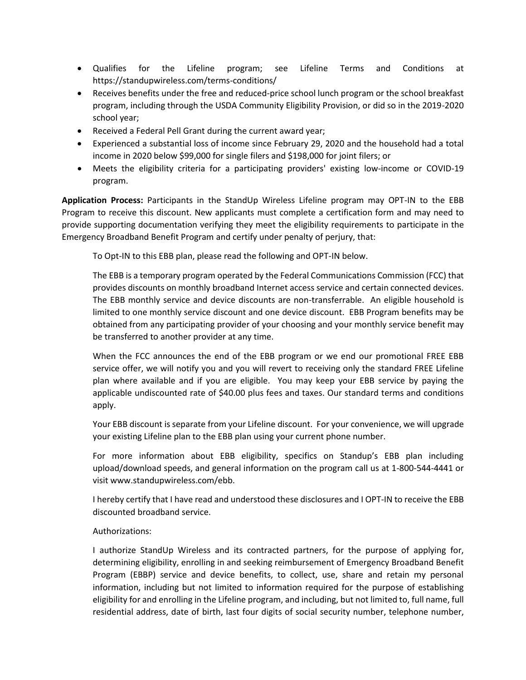- Qualifies for the Lifeline program; see Lifeline Terms and Conditions at https://standupwireless.com/terms-conditions/
- Receives benefits under the free and reduced-price school lunch program or the school breakfast program, including through the USDA Community Eligibility Provision, or did so in the 2019-2020 school year;
- Received a Federal Pell Grant during the current award year;
- Experienced a substantial loss of income since February 29, 2020 and the household had a total income in 2020 below \$99,000 for single filers and \$198,000 for joint filers; or
- Meets the eligibility criteria for a participating providers' existing low-income or COVID-19 program.

**Application Process:** Participants in the StandUp Wireless Lifeline program may OPT-IN to the EBB Program to receive this discount. New applicants must complete a certification form and may need to provide supporting documentation verifying they meet the eligibility requirements to participate in the Emergency Broadband Benefit Program and certify under penalty of perjury, that:

To Opt-IN to this EBB plan, please read the following and OPT-IN below.

The EBB is a temporary program operated by the Federal Communications Commission (FCC) that provides discounts on monthly broadband Internet access service and certain connected devices. The EBB monthly service and device discounts are non-transferrable. An eligible household is limited to one monthly service discount and one device discount. EBB Program benefits may be obtained from any participating provider of your choosing and your monthly service benefit may be transferred to another provider at any time.

When the FCC announces the end of the EBB program or we end our promotional FREE EBB service offer, we will notify you and you will revert to receiving only the standard FREE Lifeline plan where available and if you are eligible. You may keep your EBB service by paying the applicable undiscounted rate of \$40.00 plus fees and taxes. Our standard terms and conditions apply.

Your EBB discount is separate from your Lifeline discount. For your convenience, we will upgrade your existing Lifeline plan to the EBB plan using your current phone number.

For more information about EBB eligibility, specifics on Standup's EBB plan including upload/download speeds, and general information on the program call us at 1-800-544-4441 or visit www.standupwireless.com/ebb.

I hereby certify that I have read and understood these disclosures and I OPT-IN to receive the EBB discounted broadband service.

## Authorizations:

I authorize StandUp Wireless and its contracted partners, for the purpose of applying for, determining eligibility, enrolling in and seeking reimbursement of Emergency Broadband Benefit Program (EBBP) service and device benefits, to collect, use, share and retain my personal information, including but not limited to information required for the purpose of establishing eligibility for and enrolling in the Lifeline program, and including, but not limited to, full name, full residential address, date of birth, last four digits of social security number, telephone number,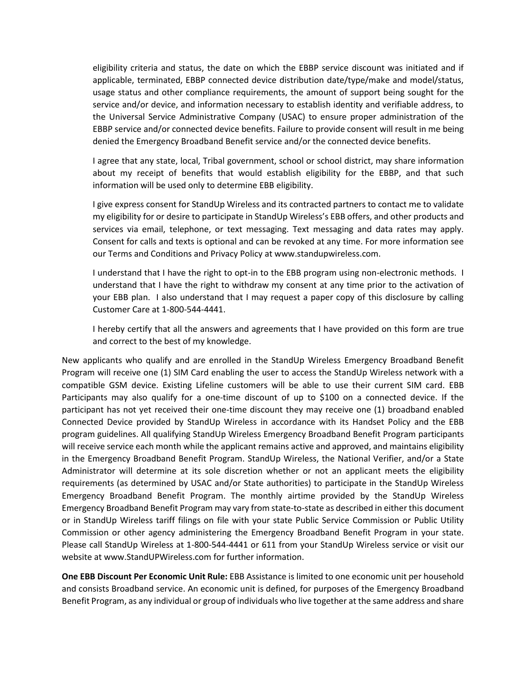eligibility criteria and status, the date on which the EBBP service discount was initiated and if applicable, terminated, EBBP connected device distribution date/type/make and model/status, usage status and other compliance requirements, the amount of support being sought for the service and/or device, and information necessary to establish identity and verifiable address, to the Universal Service Administrative Company (USAC) to ensure proper administration of the EBBP service and/or connected device benefits. Failure to provide consent will result in me being denied the Emergency Broadband Benefit service and/or the connected device benefits.

I agree that any state, local, Tribal government, school or school district, may share information about my receipt of benefits that would establish eligibility for the EBBP, and that such information will be used only to determine EBB eligibility.

I give express consent for StandUp Wireless and its contracted partners to contact me to validate my eligibility for or desire to participate in StandUp Wireless's EBB offers, and other products and services via email, telephone, or text messaging. Text messaging and data rates may apply. Consent for calls and texts is optional and can be revoked at any time. For more information see our Terms and Conditions and Privacy Policy at www.standupwireless.com.

I understand that I have the right to opt-in to the EBB program using non-electronic methods. I understand that I have the right to withdraw my consent at any time prior to the activation of your EBB plan. I also understand that I may request a paper copy of this disclosure by calling Customer Care at 1-800-544-4441.

I hereby certify that all the answers and agreements that I have provided on this form are true and correct to the best of my knowledge.

New applicants who qualify and are enrolled in the StandUp Wireless Emergency Broadband Benefit Program will receive one (1) SIM Card enabling the user to access the StandUp Wireless network with a compatible GSM device. Existing Lifeline customers will be able to use their current SIM card. EBB Participants may also qualify for a one-time discount of up to \$100 on a connected device. If the participant has not yet received their one-time discount they may receive one (1) broadband enabled Connected Device provided by StandUp Wireless in accordance with its Handset Policy and the EBB program guidelines. All qualifying StandUp Wireless Emergency Broadband Benefit Program participants will receive service each month while the applicant remains active and approved, and maintains eligibility in the Emergency Broadband Benefit Program. StandUp Wireless, the National Verifier, and/or a State Administrator will determine at its sole discretion whether or not an applicant meets the eligibility requirements (as determined by USAC and/or State authorities) to participate in the StandUp Wireless Emergency Broadband Benefit Program. The monthly airtime provided by the StandUp Wireless Emergency Broadband Benefit Program may vary from state-to-state as described in either this document or in StandUp Wireless tariff filings on file with your state Public Service Commission or Public Utility Commission or other agency administering the Emergency Broadband Benefit Program in your state. Please call StandUp Wireless at 1-800-544-4441 or 611 from your StandUp Wireless service or visit our website at www.StandUPWireless.com for further information.

**One EBB Discount Per Economic Unit Rule:** EBB Assistance is limited to one economic unit per household and consists Broadband service. An economic unit is defined, for purposes of the Emergency Broadband Benefit Program, as any individual or group of individuals who live together at the same address and share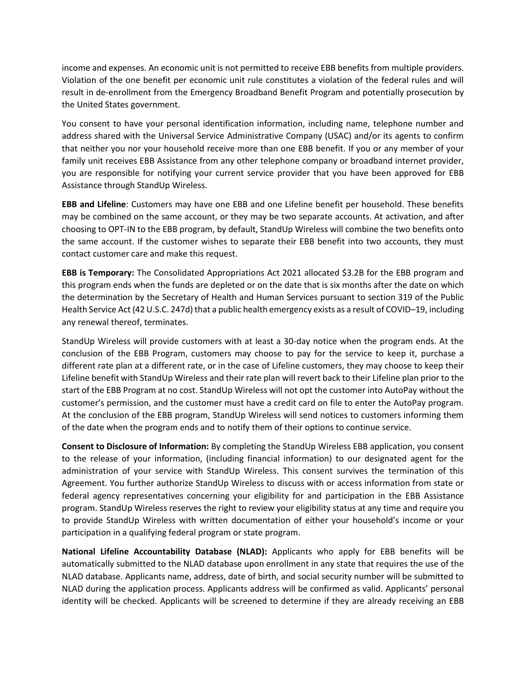income and expenses. An economic unit is not permitted to receive EBB benefits from multiple providers. Violation of the one benefit per economic unit rule constitutes a violation of the federal rules and will result in de-enrollment from the Emergency Broadband Benefit Program and potentially prosecution by the United States government.

You consent to have your personal identification information, including name, telephone number and address shared with the Universal Service Administrative Company (USAC) and/or its agents to confirm that neither you nor your household receive more than one EBB benefit. If you or any member of your family unit receives EBB Assistance from any other telephone company or broadband internet provider, you are responsible for notifying your current service provider that you have been approved for EBB Assistance through StandUp Wireless.

**EBB and Lifeline**: Customers may have one EBB and one Lifeline benefit per household. These benefits may be combined on the same account, or they may be two separate accounts. At activation, and after choosing to OPT-IN to the EBB program, by default, StandUp Wireless will combine the two benefits onto the same account. If the customer wishes to separate their EBB benefit into two accounts, they must contact customer care and make this request.

**EBB is Temporary:** The Consolidated Appropriations Act 2021 allocated \$3.2B for the EBB program and this program ends when the funds are depleted or on the date that is six months after the date on which the determination by the Secretary of Health and Human Services pursuant to section 319 of the Public Health Service Act (42 U.S.C. 247d) that a public health emergency exists as a result of COVID–19, including any renewal thereof, terminates.

StandUp Wireless will provide customers with at least a 30-day notice when the program ends. At the conclusion of the EBB Program, customers may choose to pay for the service to keep it, purchase a different rate plan at a different rate, or in the case of Lifeline customers, they may choose to keep their Lifeline benefit with StandUp Wireless and their rate plan will revert back to their Lifeline plan prior to the start of the EBB Program at no cost. StandUp Wireless will not opt the customer into AutoPay without the customer's permission, and the customer must have a credit card on file to enter the AutoPay program. At the conclusion of the EBB program, StandUp Wireless will send notices to customers informing them of the date when the program ends and to notify them of their options to continue service.

**Consent to Disclosure of Information:** By completing the StandUp Wireless EBB application, you consent to the release of your information, (including financial information) to our designated agent for the administration of your service with StandUp Wireless. This consent survives the termination of this Agreement. You further authorize StandUp Wireless to discuss with or access information from state or federal agency representatives concerning your eligibility for and participation in the EBB Assistance program. StandUp Wireless reserves the right to review your eligibility status at any time and require you to provide StandUp Wireless with written documentation of either your household's income or your participation in a qualifying federal program or state program.

**National Lifeline Accountability Database (NLAD):** Applicants who apply for EBB benefits will be automatically submitted to the NLAD database upon enrollment in any state that requires the use of the NLAD database. Applicants name, address, date of birth, and social security number will be submitted to NLAD during the application process. Applicants address will be confirmed as valid. Applicants' personal identity will be checked. Applicants will be screened to determine if they are already receiving an EBB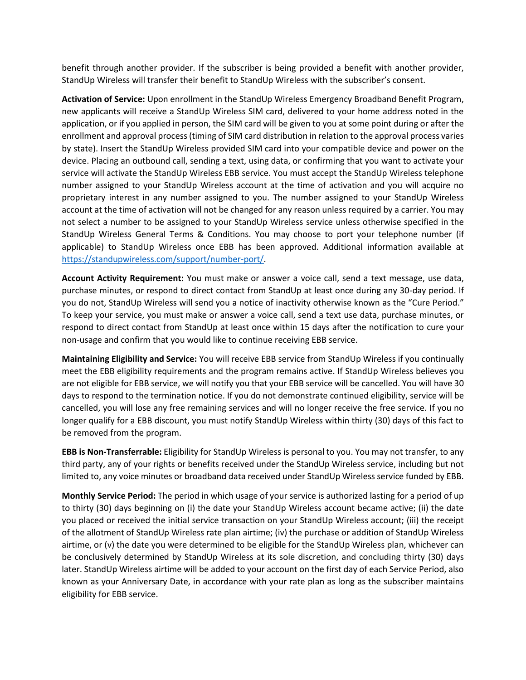benefit through another provider. If the subscriber is being provided a benefit with another provider, StandUp Wireless will transfer their benefit to StandUp Wireless with the subscriber's consent.

**Activation of Service:** Upon enrollment in the StandUp Wireless Emergency Broadband Benefit Program, new applicants will receive a StandUp Wireless SIM card, delivered to your home address noted in the application, or if you applied in person, the SIM card will be given to you at some point during or after the enrollment and approval process (timing of SIM card distribution in relation to the approval process varies by state). Insert the StandUp Wireless provided SIM card into your compatible device and power on the device. Placing an outbound call, sending a text, using data, or confirming that you want to activate your service will activate the StandUp Wireless EBB service. You must accept the StandUp Wireless telephone number assigned to your StandUp Wireless account at the time of activation and you will acquire no proprietary interest in any number assigned to you. The number assigned to your StandUp Wireless account at the time of activation will not be changed for any reason unless required by a carrier. You may not select a number to be assigned to your StandUp Wireless service unless otherwise specified in the StandUp Wireless General Terms & Conditions. You may choose to port your telephone number (if applicable) to StandUp Wireless once EBB has been approved. Additional information available at [https://standupwireless.com/support/number-port/.](https://standupwireless.com/support/number-port/)

**Account Activity Requirement:** You must make or answer a voice call, send a text message, use data, purchase minutes, or respond to direct contact from StandUp at least once during any 30-day period. If you do not, StandUp Wireless will send you a notice of inactivity otherwise known as the "Cure Period." To keep your service, you must make or answer a voice call, send a text use data, purchase minutes, or respond to direct contact from StandUp at least once within 15 days after the notification to cure your non-usage and confirm that you would like to continue receiving EBB service.

**Maintaining Eligibility and Service:** You will receive EBB service from StandUp Wireless if you continually meet the EBB eligibility requirements and the program remains active. If StandUp Wireless believes you are not eligible for EBB service, we will notify you that your EBB service will be cancelled. You will have 30 days to respond to the termination notice. If you do not demonstrate continued eligibility, service will be cancelled, you will lose any free remaining services and will no longer receive the free service. If you no longer qualify for a EBB discount, you must notify StandUp Wireless within thirty (30) days of this fact to be removed from the program.

**EBB is Non-Transferrable:** Eligibility for StandUp Wireless is personal to you. You may not transfer, to any third party, any of your rights or benefits received under the StandUp Wireless service, including but not limited to, any voice minutes or broadband data received under StandUp Wireless service funded by EBB.

**Monthly Service Period:** The period in which usage of your service is authorized lasting for a period of up to thirty (30) days beginning on (i) the date your StandUp Wireless account became active; (ii) the date you placed or received the initial service transaction on your StandUp Wireless account; (iii) the receipt of the allotment of StandUp Wireless rate plan airtime; (iv) the purchase or addition of StandUp Wireless airtime, or (v) the date you were determined to be eligible for the StandUp Wireless plan, whichever can be conclusively determined by StandUp Wireless at its sole discretion, and concluding thirty (30) days later. StandUp Wireless airtime will be added to your account on the first day of each Service Period, also known as your Anniversary Date, in accordance with your rate plan as long as the subscriber maintains eligibility for EBB service.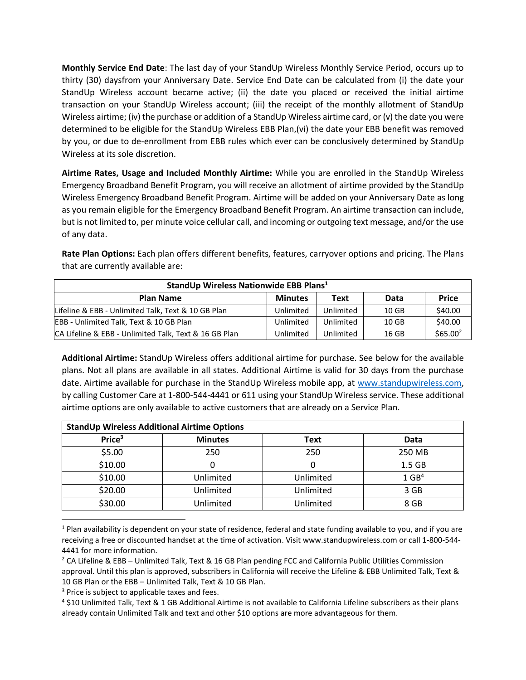**Monthly Service End Date**: The last day of your StandUp Wireless Monthly Service Period, occurs up to thirty (30) daysfrom your Anniversary Date. Service End Date can be calculated from (i) the date your StandUp Wireless account became active; (ii) the date you placed or received the initial airtime transaction on your StandUp Wireless account; (iii) the receipt of the monthly allotment of StandUp Wireless airtime; (iv) the purchase or addition of a StandUp Wireless airtime card, or (v) the date you were determined to be eligible for the StandUp Wireless EBB Plan,(vi) the date your EBB benefit was removed by you, or due to de-enrollment from EBB rules which ever can be conclusively determined by StandUp Wireless at its sole discretion.

**Airtime Rates, Usage and Included Monthly Airtime:** While you are enrolled in the StandUp Wireless Emergency Broadband Benefit Program, you will receive an allotment of airtime provided by the StandUp Wireless Emergency Broadband Benefit Program. Airtime will be added on your Anniversary Date as long as you remain eligible for the Emergency Broadband Benefit Program. An airtime transaction can include, but is not limited to, per minute voice cellular call, and incoming or outgoing text message, and/or the use of any data.

**Rate Plan Options:** Each plan offers different benefits, features, carryover options and pricing. The Plans that are currently available are:

| StandUp Wireless Nationwide EBB Plans <sup>1</sup>    |                |           |       |                      |  |  |
|-------------------------------------------------------|----------------|-----------|-------|----------------------|--|--|
| <b>Plan Name</b>                                      | <b>Minutes</b> | Text      | Data  | <b>Price</b>         |  |  |
| Lifeline & EBB - Unlimited Talk, Text & 10 GB Plan    | Unlimited      | Unlimited | 10 GB | \$40.00              |  |  |
| EBB - Unlimited Talk, Text & 10 GB Plan               | Unlimited      | Unlimited | 10 GB | \$40.00              |  |  |
| CA Lifeline & EBB - Unlimited Talk, Text & 16 GB Plan | Unlimited      | Unlimited | 16 GB | \$65.00 <sup>2</sup> |  |  |

**Additional Airtime:** StandUp Wireless offers additional airtime for purchase. See below for the available plans. Not all plans are available in all states. Additional Airtime is valid for 30 days from the purchase date. Airtime available for purchase in the StandUp Wireless mobile app, at [www.standupwireless.com,](http://www.standupwireless.com/) by calling Customer Care at 1-800-544-4441 or 611 using your StandUp Wireless service. These additional airtime options are only available to active customers that are already on a Service Plan.

| <b>StandUp Wireless Additional Airtime Options</b> |                |             |                     |  |  |
|----------------------------------------------------|----------------|-------------|---------------------|--|--|
| Price <sup>3</sup>                                 | <b>Minutes</b> | <b>Text</b> | Data                |  |  |
| \$5.00                                             | 250            | 250         | 250 MB              |  |  |
| \$10.00                                            |                |             | 1.5 <sub>GB</sub>   |  |  |
| \$10.00                                            | Unlimited      | Unlimited   | $1$ GB <sup>4</sup> |  |  |
| \$20.00                                            | Unlimited      | Unlimited   | 3 GB                |  |  |
| \$30.00                                            | Unlimited      | Unlimited   | 8 GB                |  |  |

<sup>&</sup>lt;sup>1</sup> Plan availability is dependent on your state of residence, federal and state funding available to you, and if you are receiving a free or discounted handset at the time of activation. Visit www.standupwireless.com or call 1-800-544- 4441 for more information.

<sup>&</sup>lt;sup>2</sup> CA Lifeline & EBB – Unlimited Talk, Text & 16 GB Plan pending FCC and California Public Utilities Commission approval. Until this plan is approved, subscribers in California will receive the Lifeline & EBB Unlimited Talk, Text & 10 GB Plan or the EBB – Unlimited Talk, Text & 10 GB Plan.

<sup>&</sup>lt;sup>3</sup> Price is subject to applicable taxes and fees.

<sup>4</sup> \$10 Unlimited Talk, Text & 1 GB Additional Airtime is not available to California Lifeline subscribers as their plans already contain Unlimited Talk and text and other \$10 options are more advantageous for them.